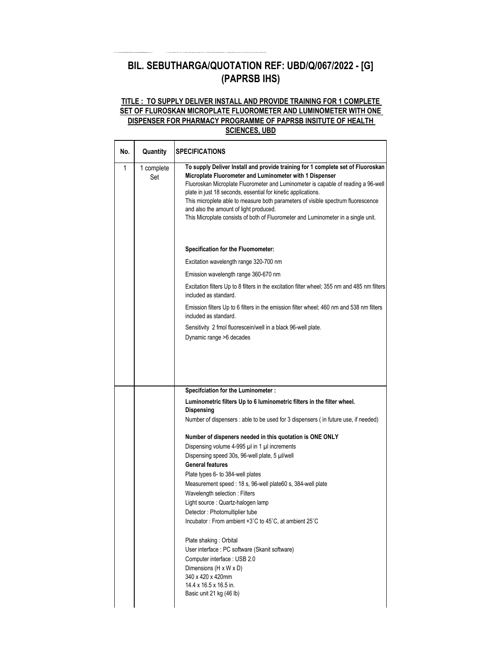## **BIL. SEBUTHARGA/QUOTATION REF: UBD/Q/067/2022 - [G] (PAPRSB IHS)**

## **TITLE : TO SUPPLY DELIVER INSTALL AND PROVIDE TRAINING FOR 1 COMPLETE SET OF FLUROSKAN MICROPLATE FLUOROMETER AND LUMINOMETER WITH ONE DISPENSER FOR PHARMACY PROGRAMME OF PAPRSB INSITUTE OF HEALTH SCIENCES, UBD**

| Quantity          | <b>SPECIFICATIONS</b>                                                                                                                                                                                                                                                                                                                                                                                                                                                                                               |
|-------------------|---------------------------------------------------------------------------------------------------------------------------------------------------------------------------------------------------------------------------------------------------------------------------------------------------------------------------------------------------------------------------------------------------------------------------------------------------------------------------------------------------------------------|
| 1 complete<br>Set | To supply Deliver Install and provide training for 1 complete set of Fluoroskan<br>Microplate Fluorometer and Luminometer with 1 Dispenser<br>Fluoroskan Microplate Fluorometer and Luminometer is capable of reading a 96-well<br>plate in just 18 seconds, essential for kinetic applications.<br>This microplete able to measure both parameters of visible spectrum fluorescence<br>and also the amount of light produced.<br>This Microplate consists of both of Fluorometer and Luminometer in a single unit. |
|                   | Specification for the Fluomometer:                                                                                                                                                                                                                                                                                                                                                                                                                                                                                  |
|                   | Excitation wavelength range 320-700 nm                                                                                                                                                                                                                                                                                                                                                                                                                                                                              |
|                   | Emission wavelength range 360-670 nm                                                                                                                                                                                                                                                                                                                                                                                                                                                                                |
|                   | Excitation filters Up to 8 filters in the excitation filter wheel; 355 nm and 485 nm filters<br>included as standard.                                                                                                                                                                                                                                                                                                                                                                                               |
|                   | Emission filters Up to 6 filters in the emission filter wheel; 460 nm and 538 nm filters<br>included as standard.                                                                                                                                                                                                                                                                                                                                                                                                   |
|                   | Sensitivity 2 fmol fluorescein/well in a black 96-well plate.<br>Dynamic range >6 decades                                                                                                                                                                                                                                                                                                                                                                                                                           |
|                   | Specifciation for the Luminometer :<br>Luminometric filters Up to 6 luminometric filters in the filter wheel.<br>Dispensing                                                                                                                                                                                                                                                                                                                                                                                         |
|                   | Number of dispensers : able to be used for 3 dispensers (in future use, if needed)                                                                                                                                                                                                                                                                                                                                                                                                                                  |
|                   | Number of dispeners needed in this quotation is ONE ONLY                                                                                                                                                                                                                                                                                                                                                                                                                                                            |
|                   | Dispensing volume 4-995 µl in 1 µl increments                                                                                                                                                                                                                                                                                                                                                                                                                                                                       |
|                   | Dispensing speed 30s, 96-well plate, 5 µl/well<br><b>General features</b>                                                                                                                                                                                                                                                                                                                                                                                                                                           |
|                   | Plate types 6- to 384-well plates                                                                                                                                                                                                                                                                                                                                                                                                                                                                                   |
|                   | Measurement speed : 18 s, 96-well plate60 s, 384-well plate                                                                                                                                                                                                                                                                                                                                                                                                                                                         |
|                   | Wavelength selection: Filters<br>Light source : Quartz-halogen lamp                                                                                                                                                                                                                                                                                                                                                                                                                                                 |
|                   | Detector : Photomultiplier tube                                                                                                                                                                                                                                                                                                                                                                                                                                                                                     |
|                   | Incubator: From ambient +3°C to 45°C, at ambient 25°C                                                                                                                                                                                                                                                                                                                                                                                                                                                               |
|                   | Plate shaking: Orbital<br>User interface : PC software (Skanit software)<br>Computer interface : USB 2.0<br>Dimensions (H x W x D)<br>340 x 420 x 420mm<br>14.4 x 16.5 x 16.5 in.<br>Basic unit 21 kg (46 lb)                                                                                                                                                                                                                                                                                                       |
|                   |                                                                                                                                                                                                                                                                                                                                                                                                                                                                                                                     |